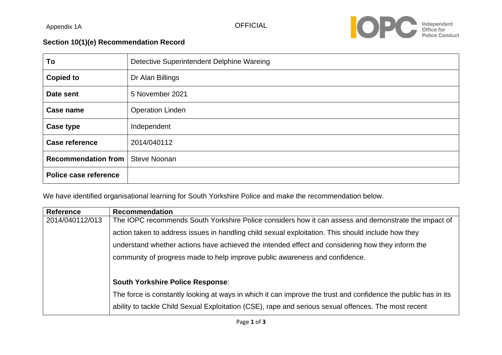Appendix 1A



## **Section 10(1)(e) Recommendation Record**

| To                         | Detective Superintendent Delphine Wareing |
|----------------------------|-------------------------------------------|
| <b>Copied to</b>           | Dr Alan Billings                          |
| Date sent                  | 5 November 2021                           |
| Case name                  | <b>Operation Linden</b>                   |
| Case type                  | Independent                               |
| <b>Case reference</b>      | 2014/040112                               |
| <b>Recommendation from</b> | <b>Steve Noonan</b>                       |
| Police case reference      |                                           |

We have identified organisational learning for South Yorkshire Police and make the recommendation below.

| <b>Reference</b> | <b>Recommendation</b>                                                                                          |
|------------------|----------------------------------------------------------------------------------------------------------------|
| 2014/040112/013  | The IOPC recommends South Yorkshire Police considers how it can assess and demonstrate the impact of           |
|                  | action taken to address issues in handling child sexual exploitation. This should include how they             |
|                  | understand whether actions have achieved the intended effect and considering how they inform the               |
|                  | community of progress made to help improve public awareness and confidence.                                    |
|                  |                                                                                                                |
|                  | <b>South Yorkshire Police Response:</b>                                                                        |
|                  | The force is constantly looking at ways in which it can improve the trust and confidence the public has in its |
|                  | ability to tackle Child Sexual Exploitation (CSE), rape and serious sexual offences. The most recent           |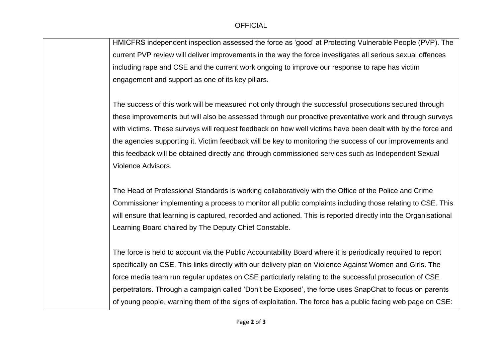HMICFRS independent inspection assessed the force as 'good' at Protecting Vulnerable People (PVP). The current PVP review will deliver improvements in the way the force investigates all serious sexual offences including rape and CSE and the current work ongoing to improve our response to rape has victim engagement and support as one of its key pillars.

The success of this work will be measured not only through the successful prosecutions secured through these improvements but will also be assessed through our proactive preventative work and through surveys with victims. These surveys will request feedback on how well victims have been dealt with by the force and the agencies supporting it. Victim feedback will be key to monitoring the success of our improvements and this feedback will be obtained directly and through commissioned services such as Independent Sexual Violence Advisors.

The Head of Professional Standards is working collaboratively with the Office of the Police and Crime Commissioner implementing a process to monitor all public complaints including those relating to CSE. This will ensure that learning is captured, recorded and actioned. This is reported directly into the Organisational Learning Board chaired by The Deputy Chief Constable.

The force is held to account via the Public Accountability Board where it is periodically required to report specifically on CSE. This links directly with our delivery plan on Violence Against Women and Girls. The force media team run regular updates on CSE particularly relating to the successful prosecution of CSE perpetrators. Through a campaign called 'Don't be Exposed', the force uses SnapChat to focus on parents of young people, warning them of the signs of exploitation. The force has a public facing web page on CSE: